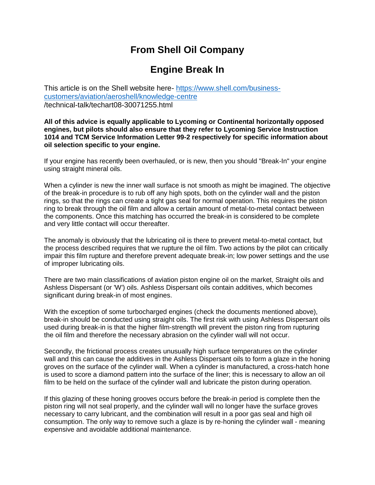# **From Shell Oil Company**

# **Engine Break In**

This article is on the Shell website here- [https://www.shell.com/business](https://www.shell.com/business-customers/aviation/aeroshell/knowledge-centre)[customers/aviation/aeroshell/knowledge-centre](https://www.shell.com/business-customers/aviation/aeroshell/knowledge-centre) /technical-talk/techart08-30071255.html

**All of this advice is equally applicable to Lycoming or Continental horizontally opposed engines, but pilots should also ensure that they refer to Lycoming Service Instruction 1014 and TCM Service Information Letter 99-2 respectively for specific information about oil selection specific to your engine.**

If your engine has recently been overhauled, or is new, then you should "Break-In" your engine using straight mineral oils.

When a cylinder is new the inner wall surface is not smooth as might be imagined. The objective of the break-in procedure is to rub off any high spots, both on the cylinder wall and the piston rings, so that the rings can create a tight gas seal for normal operation. This requires the piston ring to break through the oil film and allow a certain amount of metal-to-metal contact between the components. Once this matching has occurred the break-in is considered to be complete and very little contact will occur thereafter.

The anomaly is obviously that the lubricating oil is there to prevent metal-to-metal contact, but the process described requires that we rupture the oil film. Two actions by the pilot can critically impair this film rupture and therefore prevent adequate break-in; low power settings and the use of improper lubricating oils.

There are two main classifications of aviation piston engine oil on the market, Straight oils and Ashless Dispersant (or 'W') oils. Ashless Dispersant oils contain additives, which becomes significant during break-in of most engines.

With the exception of some turbocharged engines (check the documents mentioned above), break-in should be conducted using straight oils. The first risk with using Ashless Dispersant oils used during break-in is that the higher film-strength will prevent the piston ring from rupturing the oil film and therefore the necessary abrasion on the cylinder wall will not occur.

Secondly, the frictional process creates unusually high surface temperatures on the cylinder wall and this can cause the additives in the Ashless Dispersant oils to form a glaze in the honing groves on the surface of the cylinder wall. When a cylinder is manufactured, a cross-hatch hone is used to score a diamond pattern into the surface of the liner; this is necessary to allow an oil film to be held on the surface of the cylinder wall and lubricate the piston during operation.

If this glazing of these honing grooves occurs before the break-in period is complete then the piston ring will not seal properly, and the cylinder wall will no longer have the surface groves necessary to carry lubricant, and the combination will result in a poor gas seal and high oil consumption. The only way to remove such a glaze is by re-honing the cylinder wall - meaning expensive and avoidable additional maintenance.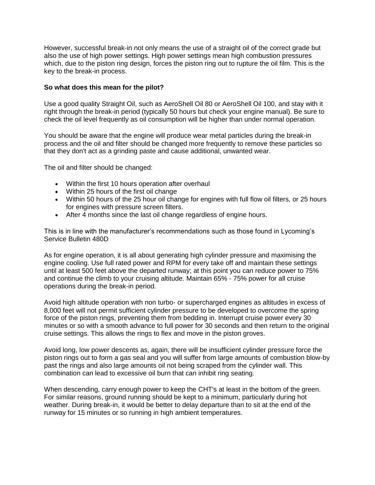However, successful break-in not only means the use of a straight oil of the correct grade but also the use of high power settings. High power settings mean high combustion pressures which, due to the piston ring design, forces the piston ring out to rupture the oil film. This is the key to the break-in process.

### **So what does this mean for the pilot?**

Use a good quality Straight Oil, such as AeroShell Oil 80 or AeroShell Oil 100, and stay with it right through the break-in period (typically 50 hours but check your engine manual). Be sure to check the oil level frequently as oil consumption will be higher than under normal operation.

You should be aware that the engine will produce wear metal particles during the break-in process and the oil and filter should be changed more frequently to remove these particles so that they don't act as a grinding paste and cause additional, unwanted wear.

The oil and filter should be changed:

- Within the first 10 hours operation after overhaul
- Within 25 hours of the first oil change
- Within 50 hours of the 25 hour oil change for engines with full flow oil filters, or 25 hours for engines with pressure screen filters.
- After 4 months since the last oil change regardless of engine hours.

This is in line with the manufacturer's recommendations such as those found in Lycoming's Service Bulletin 480D

As for engine operation, it is all about generating high cylinder pressure and maximising the engine cooling. Use full rated power and RPM for every take off and maintain these settings until at least 500 feet above the departed runway; at this point you can reduce power to 75% and continue the climb to your cruising altitude. Maintain 65% - 75% power for all cruise operations during the break-in period.

Avoid high altitude operation with non turbo- or supercharged engines as altitudes in excess of 8,000 feet will not permit sufficient cylinder pressure to be developed to overcome the spring force of the piston rings, preventing them from bedding in. Interrupt cruise power every 30 minutes or so with a smooth advance to full power for 30 seconds and then return to the original cruise settings. This allows the rings to flex and move in the piston groves.

Avoid long, low power descents as, again, there will be insufficient cylinder pressure force the piston rings out to form a gas seal and you will suffer from large amounts of combustion blow-by past the rings and also large amounts oil not being scraped from the cylinder wall. This combination can lead to excessive oil burn that can inhibit ring seating.

When descending, carry enough power to keep the CHT's at least in the bottom of the green. For similar reasons, ground running should be kept to a minimum, particularly during hot weather. During break-in, it would be better to delay departure than to sit at the end of the runway for 15 minutes or so running in high ambient temperatures.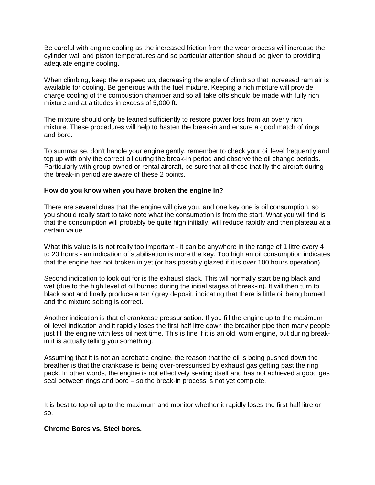Be careful with engine cooling as the increased friction from the wear process will increase the cylinder wall and piston temperatures and so particular attention should be given to providing adequate engine cooling.

When climbing, keep the airspeed up, decreasing the angle of climb so that increased ram air is available for cooling. Be generous with the fuel mixture. Keeping a rich mixture will provide charge cooling of the combustion chamber and so all take offs should be made with fully rich mixture and at altitudes in excess of 5,000 ft.

The mixture should only be leaned sufficiently to restore power loss from an overly rich mixture. These procedures will help to hasten the break-in and ensure a good match of rings and bore.

To summarise, don't handle your engine gently, remember to check your oil level frequently and top up with only the correct oil during the break-in period and observe the oil change periods. Particularly with group-owned or rental aircraft, be sure that all those that fly the aircraft during the break-in period are aware of these 2 points.

#### **How do you know when you have broken the engine in?**

There are several clues that the engine will give you, and one key one is oil consumption, so you should really start to take note what the consumption is from the start. What you will find is that the consumption will probably be quite high initially, will reduce rapidly and then plateau at a certain value.

What this value is is not really too important - it can be anywhere in the range of 1 litre every 4 to 20 hours - an indication of stabilisation is more the key. Too high an oil consumption indicates that the engine has not broken in yet (or has possibly glazed if it is over 100 hours operation).

Second indication to look out for is the exhaust stack. This will normally start being black and wet (due to the high level of oil burned during the initial stages of break-in). It will then turn to black soot and finally produce a tan / grey deposit, indicating that there is little oil being burned and the mixture setting is correct.

Another indication is that of crankcase pressurisation. If you fill the engine up to the maximum oil level indication and it rapidly loses the first half litre down the breather pipe then many people just fill the engine with less oil next time. This is fine if it is an old, worn engine, but during breakin it is actually telling you something.

Assuming that it is not an aerobatic engine, the reason that the oil is being pushed down the breather is that the crankcase is being over-pressurised by exhaust gas getting past the ring pack. In other words, the engine is not effectively sealing itself and has not achieved a good gas seal between rings and bore – so the break-in process is not yet complete.

It is best to top oil up to the maximum and monitor whether it rapidly loses the first half litre or so.

## **Chrome Bores vs. Steel bores.**